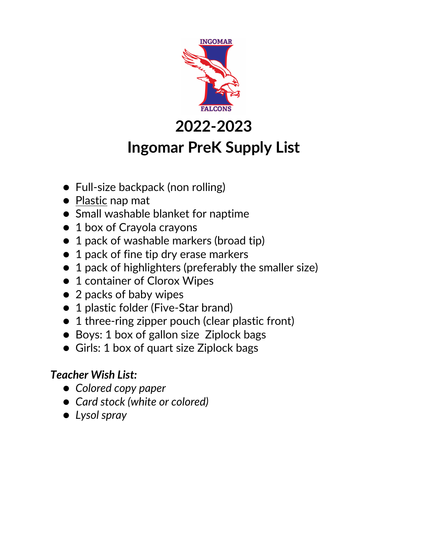

### **Ingomar PreK Supply List**

- Full-size backpack (non rolling)
- Plastic nap mat
- Small washable blanket for naptime
- 1 box of Crayola crayons
- 1 pack of washable markers (broad tip)
- 1 pack of fine tip dry erase markers
- 1 pack of highlighters (preferably the smaller size)
- 1 container of Clorox Wipes
- 2 packs of baby wipes
- 1 plastic folder (Five-Star brand)
- 1 three-ring zipper pouch (clear plastic front)
- Boys: 1 box of gallon size Ziplock bags
- Girls: 1 box of quart size Ziplock bags

#### *Teacher Wish List:*

- *Colored copy paper*
- *Card stock (white or colored)*
- *Lysol spray*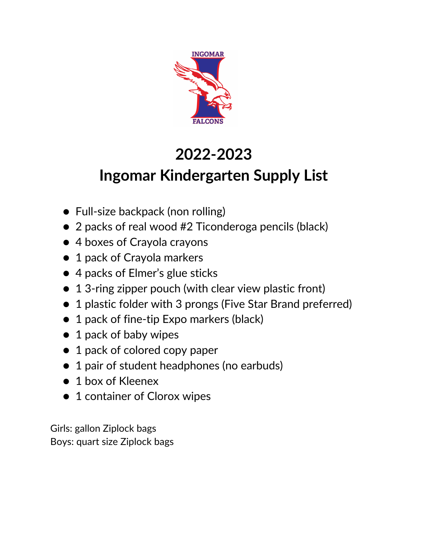

### **Ingomar Kindergarten Supply List**

- Full-size backpack (non rolling)
- 2 packs of real wood #2 Ticonderoga pencils (black)
- 4 boxes of Crayola crayons
- 1 pack of Crayola markers
- 4 packs of Elmer's glue sticks
- 1 3-ring zipper pouch (with clear view plastic front)
- 1 plastic folder with 3 prongs (Five Star Brand preferred)
- 1 pack of fine-tip Expo markers (black)
- 1 pack of baby wipes
- 1 pack of colored copy paper
- 1 pair of student headphones (no earbuds)
- 1 box of Kleenex
- 1 container of Clorox wipes

Girls: gallon Ziplock bags Boys: quart size Ziplock bags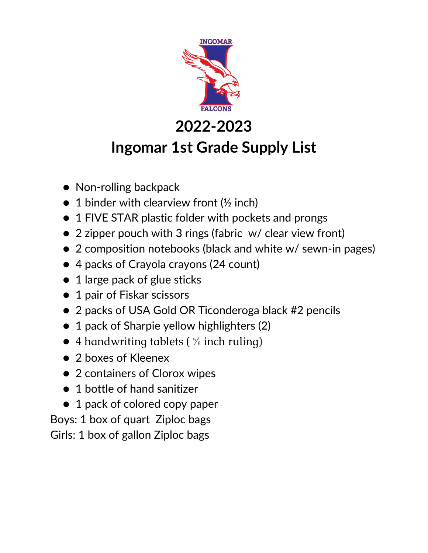

### **Ingomar 1st Grade Supply List**

- Non-rolling backpack
- $\bullet$  1 binder with clearview front ( $\frac{1}{2}$  inch)
- 1 FIVE STAR plastic folder with pockets and prongs
- 2 zipper pouch with 3 rings (fabric w/ clear view front)
- 2 composition notebooks (black and white w/ sewn-in pages)
- 4 packs of Crayola crayons (24 count)
- 1 large pack of glue sticks
- 1 pair of Fiskar scissors
- 2 packs of USA Gold OR Ticonderoga black #2 pencils
- 1 pack of Sharpie yellow highlighters (2)
- $\bullet$  4 handwriting tablets ( $\frac{5}{6}$  inch ruling)
- 2 boxes of Kleenex
- 2 containers of Clorox wipes
- 1 bottle of hand sanitizer
- 1 pack of colored copy paper

Boys: 1 box of quart Ziploc bags Girls: 1 box of gallon Ziploc bags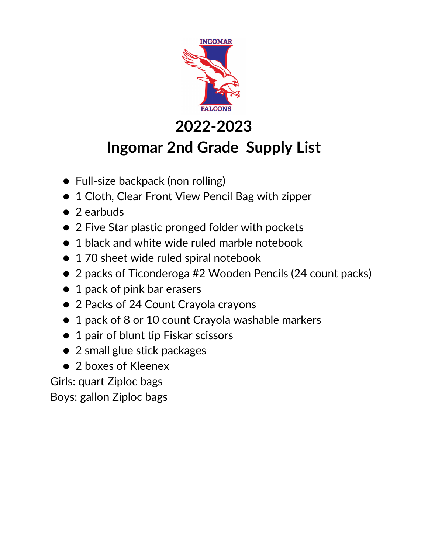

## **Ingomar 2nd Grade Supply List**

- Full-size backpack (non rolling)
- 1 Cloth, Clear Front View Pencil Bag with zipper
- 2 earbuds
- 2 Five Star plastic pronged folder with pockets
- 1 black and white wide ruled marble notebook
- 1 70 sheet wide ruled spiral notebook
- 2 packs of Ticonderoga #2 Wooden Pencils (24 count packs)
- 1 pack of pink bar erasers
- 2 Packs of 24 Count Crayola crayons
- 1 pack of 8 or 10 count Crayola washable markers
- 1 pair of blunt tip Fiskar scissors
- 2 small glue stick packages
- 2 boxes of Kleenex

Girls: quart Ziploc bags

Boys: gallon Ziploc bags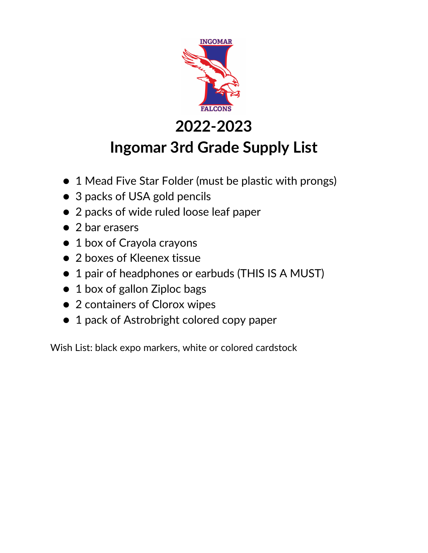

### **Ingomar 3rd Grade Supply List**

- 1 Mead Five Star Folder (must be plastic with prongs)
- 3 packs of USA gold pencils
- 2 packs of wide ruled loose leaf paper
- 2 bar erasers
- 1 box of Crayola crayons
- 2 boxes of Kleenex tissue
- 1 pair of headphones or earbuds (THIS IS A MUST)
- 1 box of gallon Ziploc bags
- 2 containers of Clorox wipes
- 1 pack of Astrobright colored copy paper

Wish List: black expo markers, white or colored cardstock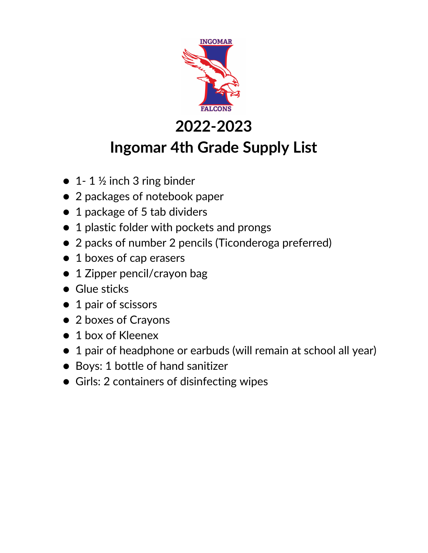

### **Ingomar 4th Grade Supply List**

- $\bullet$  1-1  $\frac{1}{2}$  inch 3 ring binder
- 2 packages of notebook paper
- 1 package of 5 tab dividers
- 1 plastic folder with pockets and prongs
- 2 packs of number 2 pencils (Ticonderoga preferred)
- 1 boxes of cap erasers
- 1 Zipper pencil/crayon bag
- Glue sticks
- 1 pair of scissors
- 2 boxes of Crayons
- 1 box of Kleenex
- 1 pair of headphone or earbuds (will remain at school all year)
- Boys: 1 bottle of hand sanitizer
- Girls: 2 containers of disinfecting wipes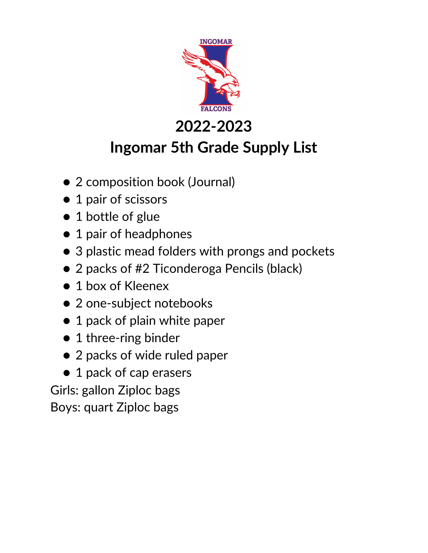

## **Ingomar 5th Grade Supply List**

- 2 composition book (Journal)
- 1 pair of scissors
- 1 bottle of glue
- 1 pair of headphones
- 3 plastic mead folders with prongs and pockets
- 2 packs of #2 Ticonderoga Pencils (black)
- 1 box of Kleenex
- 2 one-subject notebooks
- 1 pack of plain white paper
- 1 three-ring binder
- 2 packs of wide ruled paper
- 1 pack of cap erasers

Girls: gallon Ziploc bags

Boys: quart Ziploc bags